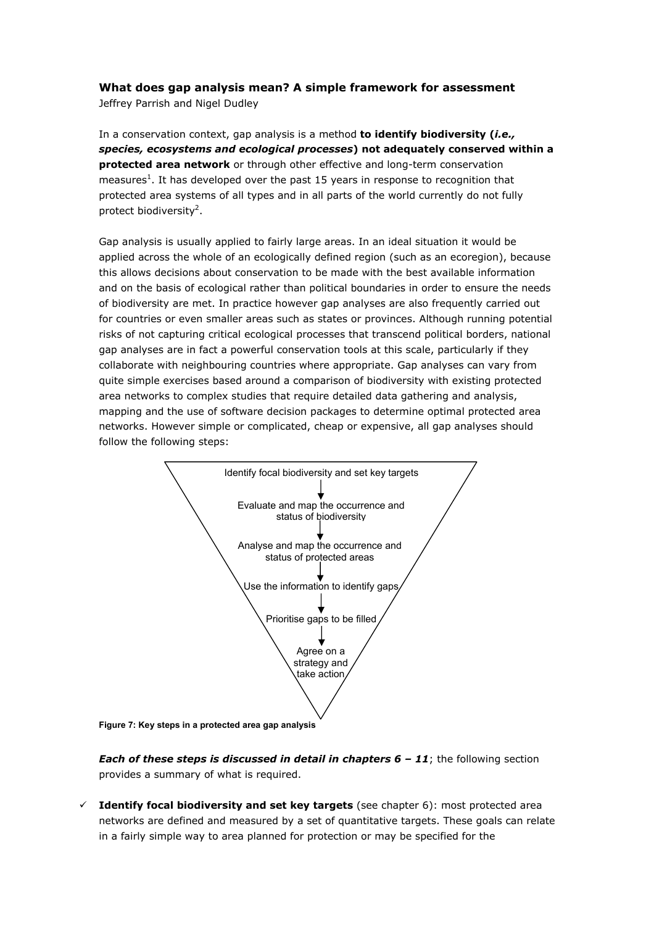## **What does gap analysis mean? A simple framework for assessment**

Jeffrey Parrish and Nigel Dudley

In a conservation context, gap analysis is a method **to identify biodiversity (***i.e., species, ecosystems and ecological processes***) not adequately conserved within a protected area network** or through other effective and long-term conservation measures<sup>1</sup>. It has developed over the past 15 years in response to recognition that protected area systems of all types and in all parts of the world currently do not fully protect biodiversity<sup>2</sup>.

Gap analysis is usually applied to fairly large areas. In an ideal situation it would be applied across the whole of an ecologically defined region (such as an ecoregion), because this allows decisions about conservation to be made with the best available information and on the basis of ecological rather than political boundaries in order to ensure the needs of biodiversity are met. In practice however gap analyses are also frequently carried out for countries or even smaller areas such as states or provinces. Although running potential risks of not capturing critical ecological processes that transcend political borders, national gap analyses are in fact a powerful conservation tools at this scale, particularly if they collaborate with neighbouring countries where appropriate. Gap analyses can vary from quite simple exercises based around a comparison of biodiversity with existing protected area networks to complex studies that require detailed data gathering and analysis, mapping and the use of software decision packages to determine optimal protected area networks. However simple or complicated, cheap or expensive, all gap analyses should follow the following steps:



**Figure 7: Key steps in a protected area gap analysis** 

**Each of these steps is discussed in detail in chapters 6 - 11;** the following section provides a summary of what is required.

 $\checkmark$  **Identify focal biodiversity and set key targets** (see chapter 6): most protected area networks are defined and measured by a set of quantitative targets. These goals can relate in a fairly simple way to area planned for protection or may be specified for the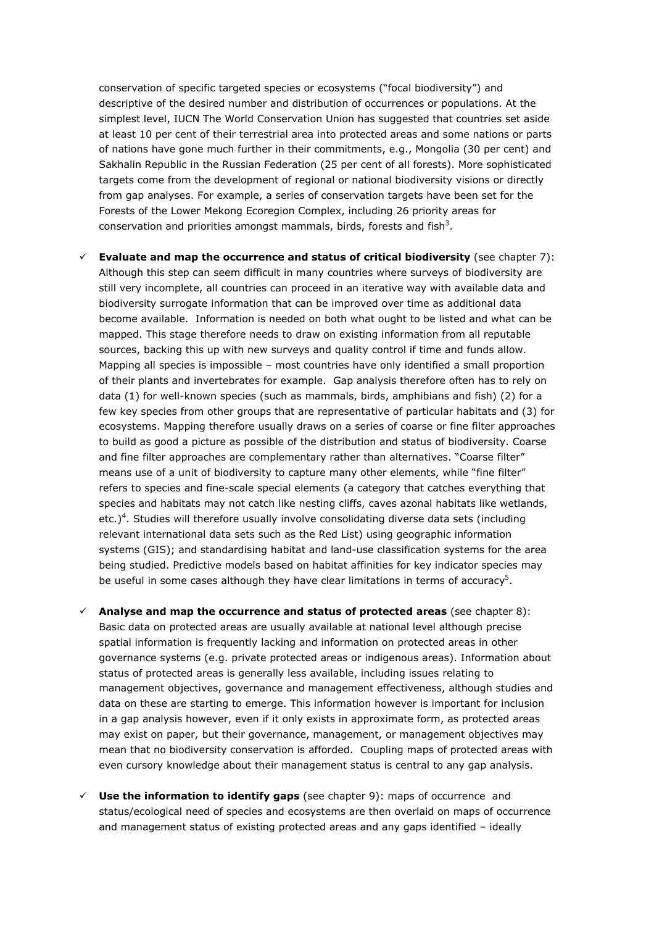conservation of specific targeted species or ecosystems ("focal biodiversity") and descriptive of the desired number and distribution of occurrences or populations. At the simplest level, IUCN The World Conservation Union has suggested that countries set aside at least 10 per cent of their terrestrial area into protected areas and some nations or parts of nations have gone much further in their commitments, e.g., Mongolia (30 per cent) and Sakhalin Republic in the Russian Federation (25 per cent of all forests). More sophisticated targets come from the development of regional or national biodiversity visions or directly from gap analyses. For example, a series of conservation targets have been set for the Forests of the Lower Mekong Ecoregion Complex, including 26 priority areas for conservation and priorities amongst mammals, birds, forests and fish<sup>3</sup>.

- $\checkmark$  **Evaluate and map the occurrence and status of critical biodiversity** (see chapter 7): Although this step can seem difficult in many countries where surveys of biodiversity are still very incomplete, all countries can proceed in an iterative way with available data and biodiversity surrogate information that can be improved over time as additional data become available. Information is needed on both what ought to be listed and what can be mapped. This stage therefore needs to draw on existing information from all reputable sources, backing this up with new surveys and quality control if time and funds allow. Mapping all species is impossible – most countries have only identified a small proportion of their plants and invertebrates for example. Gap analysis therefore often has to rely on data (1) for well-known species (such as mammals, birds, amphibians and fish) (2) for a few key species from other groups that are representative of particular habitats and (3) for ecosystems. Mapping therefore usually draws on a series of coarse or fine filter approaches to build as good a picture as possible of the distribution and status of biodiversity. Coarse and fine filter approaches are complementary rather than alternatives. "Coarse filter" means use of a unit of biodiversity to capture many other elements, while "fine filter" refers to species and fine-scale special elements (a category that catches everything that species and habitats may not catch like nesting cliffs, caves azonal habitats like wetlands, etc.)<sup>4</sup>. Studies will therefore usually involve consolidating diverse data sets (including relevant international data sets such as the Red List) using geographic information systems (GIS); and standardising habitat and land-use classification systems for the area being studied. Predictive models based on habitat affinities for key indicator species may be useful in some cases although they have clear limitations in terms of accuracy<sup>5</sup>.
- $\checkmark$  Analyse and map the occurrence and status of protected areas (see chapter 8): Basic data on protected areas are usually available at national level although precise spatial information is frequently lacking and information on protected areas in other governance systems (e.g. private protected areas or indigenous areas). Information about status of protected areas is generally less available, including issues relating to management objectives, governance and management effectiveness, although studies and data on these are starting to emerge. This information however is important for inclusion in a gap analysis however, even if it only exists in approximate form, as protected areas may exist on paper, but their governance, management, or management objectives may mean that no biodiversity conservation is afforded. Coupling maps of protected areas with even cursory knowledge about their management status is central to any gap analysis.
- $\checkmark$  Use the information to identify gaps (see chapter 9): maps of occurrence and status/ecological need of species and ecosystems are then overlaid on maps of occurrence and management status of existing protected areas and any gaps identified – ideally